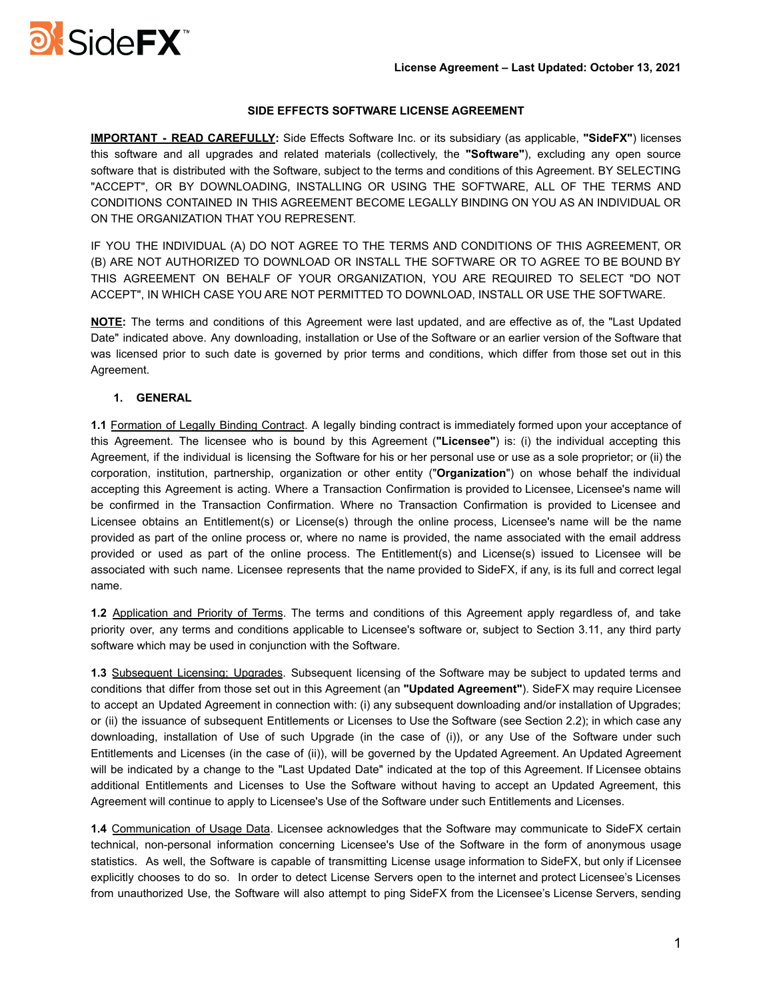

## **SIDE EFFECTS SOFTWARE LICENSE AGREEMENT**

**IMPORTANT - READ CAREFULLY:** Side Effects Software Inc. or its subsidiary (as applicable, **"SideFX"**) licenses this software and all upgrades and related materials (collectively, the **"Software"**), excluding any open source software that is distributed with the Software, subject to the terms and conditions of this Agreement. BY SELECTING "ACCEPT", OR BY DOWNLOADING, INSTALLING OR USING THE SOFTWARE, ALL OF THE TERMS AND CONDITIONS CONTAINED IN THIS AGREEMENT BECOME LEGALLY BINDING ON YOU AS AN INDIVIDUAL OR ON THE ORGANIZATION THAT YOU REPRESENT.

IF YOU THE INDIVIDUAL (A) DO NOT AGREE TO THE TERMS AND CONDITIONS OF THIS AGREEMENT, OR (B) ARE NOT AUTHORIZED TO DOWNLOAD OR INSTALL THE SOFTWARE OR TO AGREE TO BE BOUND BY THIS AGREEMENT ON BEHALF OF YOUR ORGANIZATION, YOU ARE REQUIRED TO SELECT "DO NOT ACCEPT", IN WHICH CASE YOU ARE NOT PERMITTED TO DOWNLOAD, INSTALL OR USE THE SOFTWARE.

**NOTE:** The terms and conditions of this Agreement were last updated, and are effective as of, the "Last Updated Date" indicated above. Any downloading, installation or Use of the Software or an earlier version of the Software that was licensed prior to such date is governed by prior terms and conditions, which differ from those set out in this Agreement.

# **1. GENERAL**

**1.1** Formation of Legally Binding Contract. A legally binding contract is immediately formed upon your acceptance of this Agreement. The licensee who is bound by this Agreement (**"Licensee"**) is: (i) the individual accepting this Agreement, if the individual is licensing the Software for his or her personal use or use as a sole proprietor; or (ii) the corporation, institution, partnership, organization or other entity ("**Organization**") on whose behalf the individual accepting this Agreement is acting. Where a Transaction Confirmation is provided to Licensee, Licensee's name will be confirmed in the Transaction Confirmation. Where no Transaction Confirmation is provided to Licensee and Licensee obtains an Entitlement(s) or License(s) through the online process, Licensee's name will be the name provided as part of the online process or, where no name is provided, the name associated with the email address provided or used as part of the online process. The Entitlement(s) and License(s) issued to Licensee will be associated with such name. Licensee represents that the name provided to SideFX, if any, is its full and correct legal name.

**1.2** Application and Priority of Terms. The terms and conditions of this Agreement apply regardless of, and take priority over, any terms and conditions applicable to Licensee's software or, subject to Section 3.11, any third party software which may be used in conjunction with the Software.

**1.3** Subsequent Licensing; Upgrades. Subsequent licensing of the Software may be subject to updated terms and conditions that differ from those set out in this Agreement (an **"Updated Agreement"**). SideFX may require Licensee to accept an Updated Agreement in connection with: (i) any subsequent downloading and/or installation of Upgrades; or (ii) the issuance of subsequent Entitlements or Licenses to Use the Software (see Section 2.2); in which case any downloading, installation of Use of such Upgrade (in the case of (i)), or any Use of the Software under such Entitlements and Licenses (in the case of (ii)), will be governed by the Updated Agreement. An Updated Agreement will be indicated by a change to the "Last Updated Date" indicated at the top of this Agreement. If Licensee obtains additional Entitlements and Licenses to Use the Software without having to accept an Updated Agreement, this Agreement will continue to apply to Licensee's Use of the Software under such Entitlements and Licenses.

**1.4** Communication of Usage Data. Licensee acknowledges that the Software may communicate to SideFX certain technical, non-personal information concerning Licensee's Use of the Software in the form of anonymous usage statistics. As well, the Software is capable of transmitting License usage information to SideFX, but only if Licensee explicitly chooses to do so. In order to detect License Servers open to the internet and protect Licensee's Licenses from unauthorized Use, the Software will also attempt to ping SideFX from the Licensee's License Servers, sending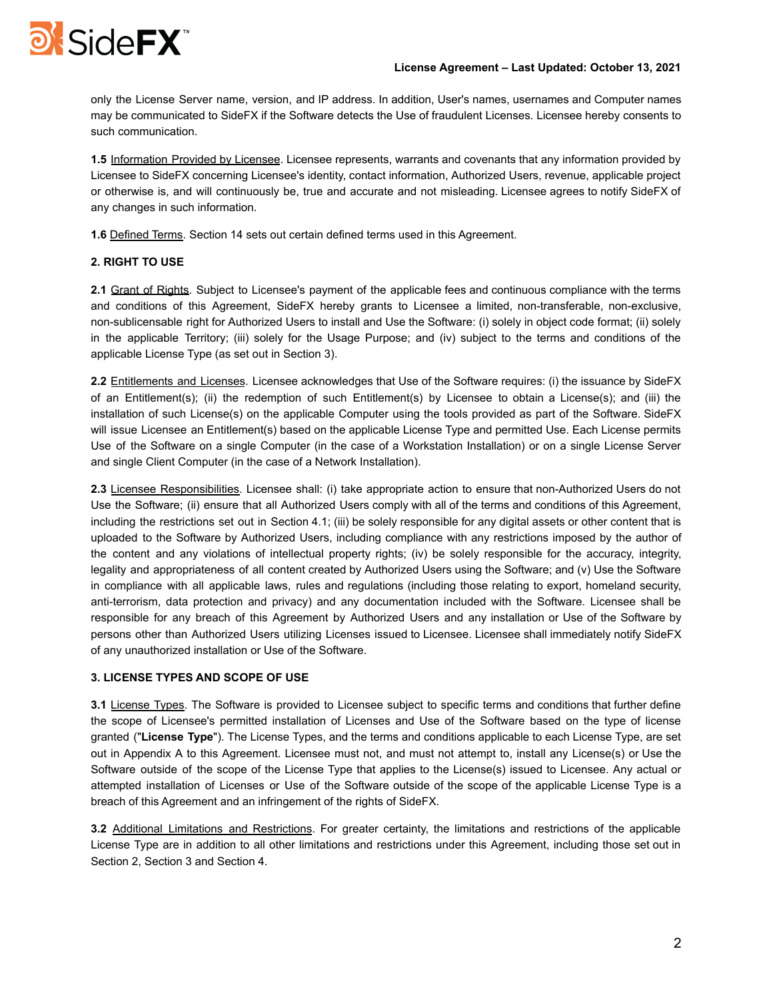

only the License Server name, version, and IP address. In addition, User's names, usernames and Computer names may be communicated to SideFX if the Software detects the Use of fraudulent Licenses. Licensee hereby consents to such communication.

**1.5** Information Provided by Licensee. Licensee represents, warrants and covenants that any information provided by Licensee to SideFX concerning Licensee's identity, contact information, Authorized Users, revenue, applicable project or otherwise is, and will continuously be, true and accurate and not misleading. Licensee agrees to notify SideFX of any changes in such information.

**1.6** Defined Terms. Section 14 sets out certain defined terms used in this Agreement.

# **2. RIGHT TO USE**

**2.1** Grant of Rights. Subject to Licensee's payment of the applicable fees and continuous compliance with the terms and conditions of this Agreement, SideFX hereby grants to Licensee a limited, non-transferable, non-exclusive, non-sublicensable right for Authorized Users to install and Use the Software: (i) solely in object code format; (ii) solely in the applicable Territory; (iii) solely for the Usage Purpose; and (iv) subject to the terms and conditions of the applicable License Type (as set out in Section 3).

**2.2** Entitlements and Licenses. Licensee acknowledges that Use of the Software requires: (i) the issuance by SideFX of an Entitlement(s); (ii) the redemption of such Entitlement(s) by Licensee to obtain a License(s); and (iii) the installation of such License(s) on the applicable Computer using the tools provided as part of the Software. SideFX will issue Licensee an Entitlement(s) based on the applicable License Type and permitted Use. Each License permits Use of the Software on a single Computer (in the case of a Workstation Installation) or on a single License Server and single Client Computer (in the case of a Network Installation).

**2.3** Licensee Responsibilities. Licensee shall: (i) take appropriate action to ensure that non-Authorized Users do not Use the Software; (ii) ensure that all Authorized Users comply with all of the terms and conditions of this Agreement, including the restrictions set out in Section 4.1; (iii) be solely responsible for any digital assets or other content that is uploaded to the Software by Authorized Users, including compliance with any restrictions imposed by the author of the content and any violations of intellectual property rights; (iv) be solely responsible for the accuracy, integrity, legality and appropriateness of all content created by Authorized Users using the Software; and (v) Use the Software in compliance with all applicable laws, rules and regulations (including those relating to export, homeland security, anti-terrorism, data protection and privacy) and any documentation included with the Software. Licensee shall be responsible for any breach of this Agreement by Authorized Users and any installation or Use of the Software by persons other than Authorized Users utilizing Licenses issued to Licensee. Licensee shall immediately notify SideFX of any unauthorized installation or Use of the Software.

# **3. LICENSE TYPES AND SCOPE OF USE**

**3.1** License Types. The Software is provided to Licensee subject to specific terms and conditions that further define the scope of Licensee's permitted installation of Licenses and Use of the Software based on the type of license granted ("**License Type**"). The License Types, and the terms and conditions applicable to each License Type, are set out in Appendix A to this Agreement. Licensee must not, and must not attempt to, install any License(s) or Use the Software outside of the scope of the License Type that applies to the License(s) issued to Licensee. Any actual or attempted installation of Licenses or Use of the Software outside of the scope of the applicable License Type is a breach of this Agreement and an infringement of the rights of SideFX.

**3.2** Additional Limitations and Restrictions. For greater certainty, the limitations and restrictions of the applicable License Type are in addition to all other limitations and restrictions under this Agreement, including those set out in Section 2, Section 3 and Section 4.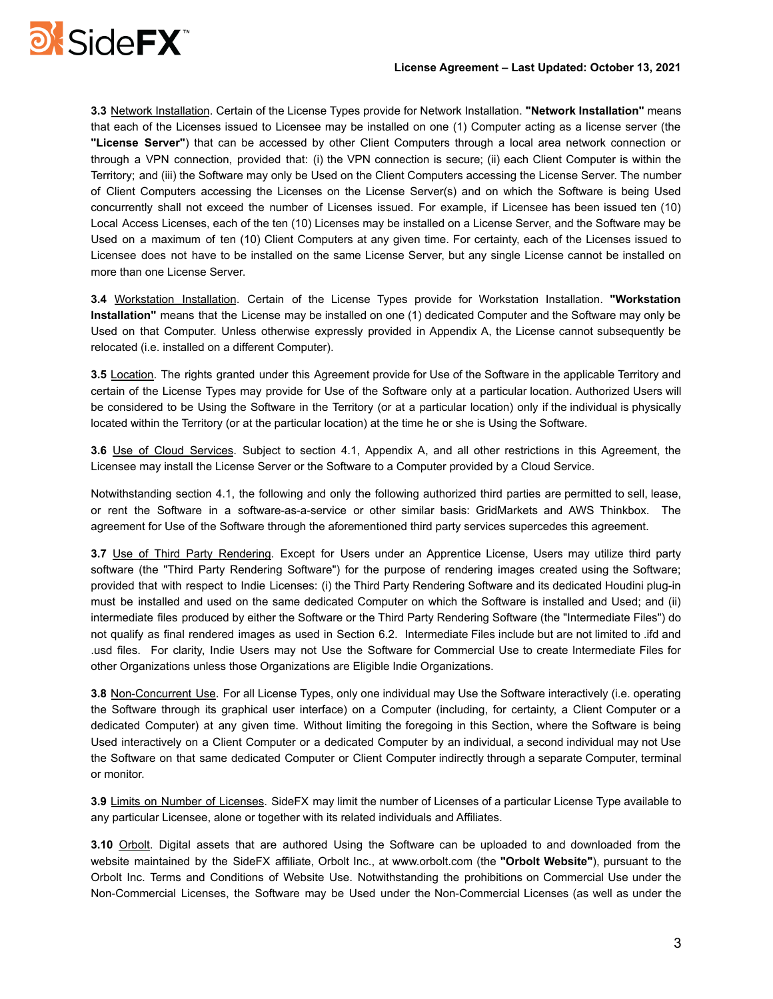

**3.3** Network Installation. Certain of the License Types provide for Network Installation. **"Network Installation"** means that each of the Licenses issued to Licensee may be installed on one (1) Computer acting as a license server (the **"License Server"**) that can be accessed by other Client Computers through a local area network connection or through a VPN connection, provided that: (i) the VPN connection is secure; (ii) each Client Computer is within the Territory; and (iii) the Software may only be Used on the Client Computers accessing the License Server. The number of Client Computers accessing the Licenses on the License Server(s) and on which the Software is being Used concurrently shall not exceed the number of Licenses issued. For example, if Licensee has been issued ten (10) Local Access Licenses, each of the ten (10) Licenses may be installed on a License Server, and the Software may be Used on a maximum of ten (10) Client Computers at any given time. For certainty, each of the Licenses issued to Licensee does not have to be installed on the same License Server, but any single License cannot be installed on more than one License Server.

**3.4** Workstation Installation. Certain of the License Types provide for Workstation Installation. **"Workstation Installation"** means that the License may be installed on one (1) dedicated Computer and the Software may only be Used on that Computer. Unless otherwise expressly provided in Appendix A, the License cannot subsequently be relocated (i.e. installed on a different Computer).

**3.5** Location. The rights granted under this Agreement provide for Use of the Software in the applicable Territory and certain of the License Types may provide for Use of the Software only at a particular location. Authorized Users will be considered to be Using the Software in the Territory (or at a particular location) only if the individual is physically located within the Territory (or at the particular location) at the time he or she is Using the Software.

**3.6** Use of Cloud Services. Subject to section 4.1, Appendix A, and all other restrictions in this Agreement, the Licensee may install the License Server or the Software to a Computer provided by a Cloud Service.

Notwithstanding section 4.1, the following and only the following authorized third parties are permitted to sell, lease, or rent the Software in a software-as-a-service or other similar basis: GridMarkets and AWS Thinkbox. The agreement for Use of the Software through the aforementioned third party services supercedes this agreement.

**3.7** Use of Third Party Rendering. Except for Users under an Apprentice License, Users may utilize third party software (the "Third Party Rendering Software") for the purpose of rendering images created using the Software; provided that with respect to Indie Licenses: (i) the Third Party Rendering Software and its dedicated Houdini plug-in must be installed and used on the same dedicated Computer on which the Software is installed and Used; and (ii) intermediate files produced by either the Software or the Third Party Rendering Software (the "Intermediate Files") do not qualify as final rendered images as used in Section 6.2. Intermediate Files include but are not limited to .ifd and .usd files. For clarity, Indie Users may not Use the Software for Commercial Use to create Intermediate Files for other Organizations unless those Organizations are Eligible Indie Organizations.

**3.8** Non-Concurrent Use. For all License Types, only one individual may Use the Software interactively (i.e. operating the Software through its graphical user interface) on a Computer (including, for certainty, a Client Computer or a dedicated Computer) at any given time. Without limiting the foregoing in this Section, where the Software is being Used interactively on a Client Computer or a dedicated Computer by an individual, a second individual may not Use the Software on that same dedicated Computer or Client Computer indirectly through a separate Computer, terminal or monitor.

**3.9** Limits on Number of Licenses. SideFX may limit the number of Licenses of a particular License Type available to any particular Licensee, alone or together with its related individuals and Affiliates.

**3.10** Orbolt. Digital assets that are authored Using the Software can be uploaded to and downloaded from the website maintained by the SideFX affiliate, Orbolt Inc., at www.orbolt.com (the **"Orbolt Website"**), pursuant to the Orbolt Inc. Terms and Conditions of Website Use. Notwithstanding the prohibitions on Commercial Use under the Non-Commercial Licenses, the Software may be Used under the Non-Commercial Licenses (as well as under the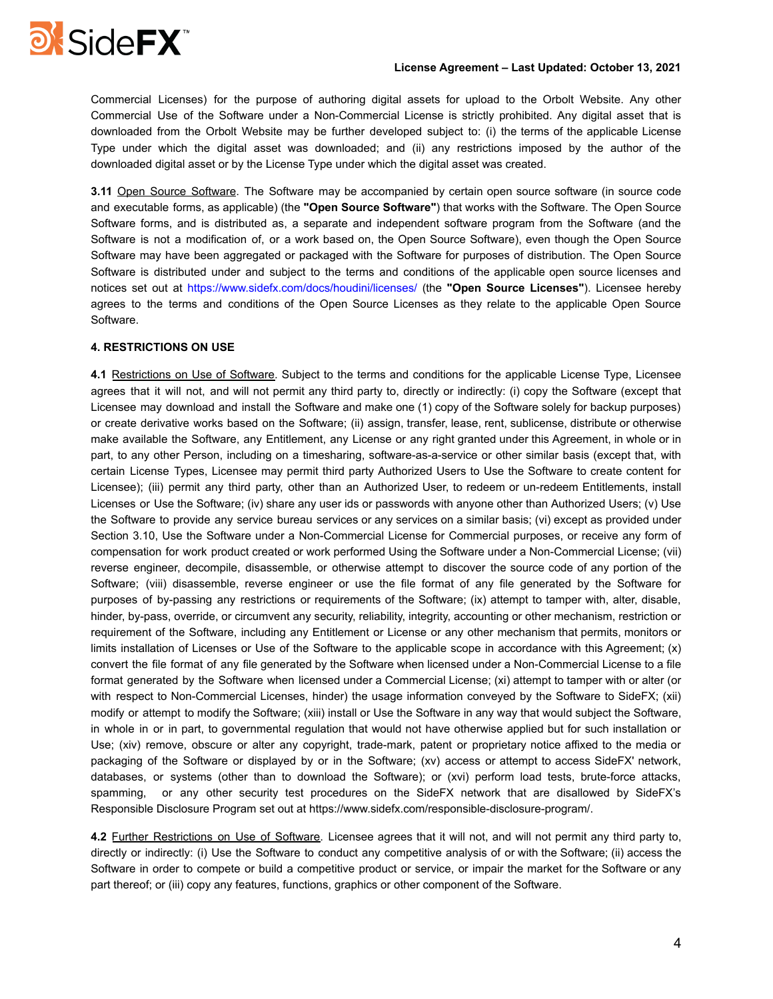

## **License Agreement – Last Updated: October 13, 2021**

Commercial Licenses) for the purpose of authoring digital assets for upload to the Orbolt Website. Any other Commercial Use of the Software under a Non-Commercial License is strictly prohibited. Any digital asset that is downloaded from the Orbolt Website may be further developed subject to: (i) the terms of the applicable License Type under which the digital asset was downloaded; and (ii) any restrictions imposed by the author of the downloaded digital asset or by the License Type under which the digital asset was created.

**3.11** Open Source Software. The Software may be accompanied by certain open source software (in source code and executable forms, as applicable) (the **"Open Source Software"**) that works with the Software. The Open Source Software forms, and is distributed as, a separate and independent software program from the Software (and the Software is not a modification of, or a work based on, the Open Source Software), even though the Open Source Software may have been aggregated or packaged with the Software for purposes of distribution. The Open Source Software is distributed under and subject to the terms and conditions of the applicable open source licenses and notices set out at https://www.sidefx.com/docs/houdini/licenses/ (the **"Open Source Licenses"**). Licensee hereby agrees to the terms and conditions of the Open Source Licenses as they relate to the applicable Open Source Software.

## **4. RESTRICTIONS ON USE**

**4.1** Restrictions on Use of Software. Subject to the terms and conditions for the applicable License Type, Licensee agrees that it will not, and will not permit any third party to, directly or indirectly: (i) copy the Software (except that Licensee may download and install the Software and make one (1) copy of the Software solely for backup purposes) or create derivative works based on the Software; (ii) assign, transfer, lease, rent, sublicense, distribute or otherwise make available the Software, any Entitlement, any License or any right granted under this Agreement, in whole or in part, to any other Person, including on a timesharing, software-as-a-service or other similar basis (except that, with certain License Types, Licensee may permit third party Authorized Users to Use the Software to create content for Licensee); (iii) permit any third party, other than an Authorized User, to redeem or un-redeem Entitlements, install Licenses or Use the Software; (iv) share any user ids or passwords with anyone other than Authorized Users; (v) Use the Software to provide any service bureau services or any services on a similar basis; (vi) except as provided under Section 3.10, Use the Software under a Non-Commercial License for Commercial purposes, or receive any form of compensation for work product created or work performed Using the Software under a Non-Commercial License; (vii) reverse engineer, decompile, disassemble, or otherwise attempt to discover the source code of any portion of the Software; (viii) disassemble, reverse engineer or use the file format of any file generated by the Software for purposes of by-passing any restrictions or requirements of the Software; (ix) attempt to tamper with, alter, disable, hinder, by-pass, override, or circumvent any security, reliability, integrity, accounting or other mechanism, restriction or requirement of the Software, including any Entitlement or License or any other mechanism that permits, monitors or limits installation of Licenses or Use of the Software to the applicable scope in accordance with this Agreement; (x) convert the file format of any file generated by the Software when licensed under a Non-Commercial License to a file format generated by the Software when licensed under a Commercial License; (xi) attempt to tamper with or alter (or with respect to Non-Commercial Licenses, hinder) the usage information conveyed by the Software to SideFX; (xii) modify or attempt to modify the Software; (xiii) install or Use the Software in any way that would subject the Software, in whole in or in part, to governmental regulation that would not have otherwise applied but for such installation or Use; (xiv) remove, obscure or alter any copyright, trade-mark, patent or proprietary notice affixed to the media or packaging of the Software or displayed by or in the Software; (xv) access or attempt to access SideFX' network, databases, or systems (other than to download the Software); or (xvi) perform load tests, brute-force attacks, spamming, or any other security test procedures on the SideFX network that are disallowed by SideFX's Responsible Disclosure Program set out at https://www.sidefx.com/responsible-disclosure-program/.

**4.2** Further Restrictions on Use of Software. Licensee agrees that it will not, and will not permit any third party to, directly or indirectly: (i) Use the Software to conduct any competitive analysis of or with the Software; (ii) access the Software in order to compete or build a competitive product or service, or impair the market for the Software or any part thereof; or (iii) copy any features, functions, graphics or other component of the Software.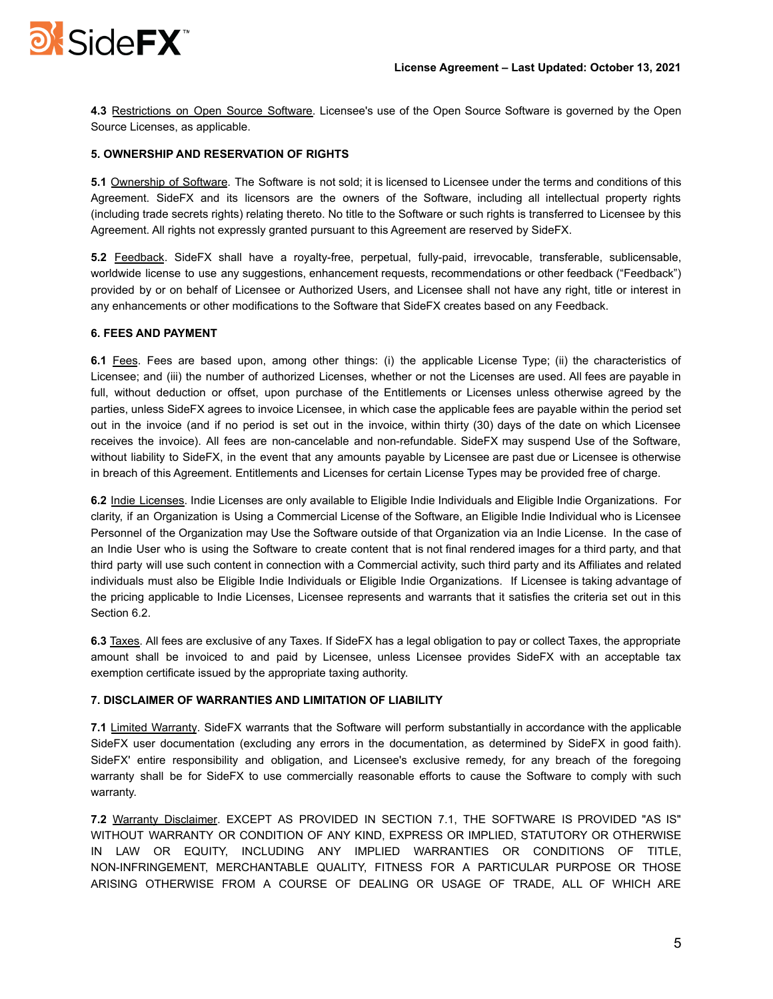

**4.3** Restrictions on Open Source Software. Licensee's use of the Open Source Software is governed by the Open Source Licenses, as applicable.

# **5. OWNERSHIP AND RESERVATION OF RIGHTS**

**5.1** Ownership of Software. The Software is not sold; it is licensed to Licensee under the terms and conditions of this Agreement. SideFX and its licensors are the owners of the Software, including all intellectual property rights (including trade secrets rights) relating thereto. No title to the Software or such rights is transferred to Licensee by this Agreement. All rights not expressly granted pursuant to this Agreement are reserved by SideFX.

**5.2** Feedback. SideFX shall have a royalty-free, perpetual, fully-paid, irrevocable, transferable, sublicensable, worldwide license to use any suggestions, enhancement requests, recommendations or other feedback ("Feedback") provided by or on behalf of Licensee or Authorized Users, and Licensee shall not have any right, title or interest in any enhancements or other modifications to the Software that SideFX creates based on any Feedback.

# **6. FEES AND PAYMENT**

**6.1** Fees. Fees are based upon, among other things: (i) the applicable License Type; (ii) the characteristics of Licensee; and (iii) the number of authorized Licenses, whether or not the Licenses are used. All fees are payable in full, without deduction or offset, upon purchase of the Entitlements or Licenses unless otherwise agreed by the parties, unless SideFX agrees to invoice Licensee, in which case the applicable fees are payable within the period set out in the invoice (and if no period is set out in the invoice, within thirty (30) days of the date on which Licensee receives the invoice). All fees are non-cancelable and non-refundable. SideFX may suspend Use of the Software, without liability to SideFX, in the event that any amounts payable by Licensee are past due or Licensee is otherwise in breach of this Agreement. Entitlements and Licenses for certain License Types may be provided free of charge.

**6.2** Indie Licenses. Indie Licenses are only available to Eligible Indie Individuals and Eligible Indie Organizations. For clarity, if an Organization is Using a Commercial License of the Software, an Eligible Indie Individual who is Licensee Personnel of the Organization may Use the Software outside of that Organization via an Indie License. In the case of an Indie User who is using the Software to create content that is not final rendered images for a third party, and that third party will use such content in connection with a Commercial activity, such third party and its Affiliates and related individuals must also be Eligible Indie Individuals or Eligible Indie Organizations. If Licensee is taking advantage of the pricing applicable to Indie Licenses, Licensee represents and warrants that it satisfies the criteria set out in this Section 6.2.

**6.3** Taxes. All fees are exclusive of any Taxes. If SideFX has a legal obligation to pay or collect Taxes, the appropriate amount shall be invoiced to and paid by Licensee, unless Licensee provides SideFX with an acceptable tax exemption certificate issued by the appropriate taxing authority.

# **7. DISCLAIMER OF WARRANTIES AND LIMITATION OF LIABILITY**

**7.1** Limited Warranty. SideFX warrants that the Software will perform substantially in accordance with the applicable SideFX user documentation (excluding any errors in the documentation, as determined by SideFX in good faith). SideFX' entire responsibility and obligation, and Licensee's exclusive remedy, for any breach of the foregoing warranty shall be for SideFX to use commercially reasonable efforts to cause the Software to comply with such warranty.

**7.2** Warranty Disclaimer. EXCEPT AS PROVIDED IN SECTION 7.1, THE SOFTWARE IS PROVIDED "AS IS" WITHOUT WARRANTY OR CONDITION OF ANY KIND, EXPRESS OR IMPLIED, STATUTORY OR OTHERWISE IN LAW OR EQUITY, INCLUDING ANY IMPLIED WARRANTIES OR CONDITIONS OF TITLE, NON-INFRINGEMENT, MERCHANTABLE QUALITY, FITNESS FOR A PARTICULAR PURPOSE OR THOSE ARISING OTHERWISE FROM A COURSE OF DEALING OR USAGE OF TRADE, ALL OF WHICH ARE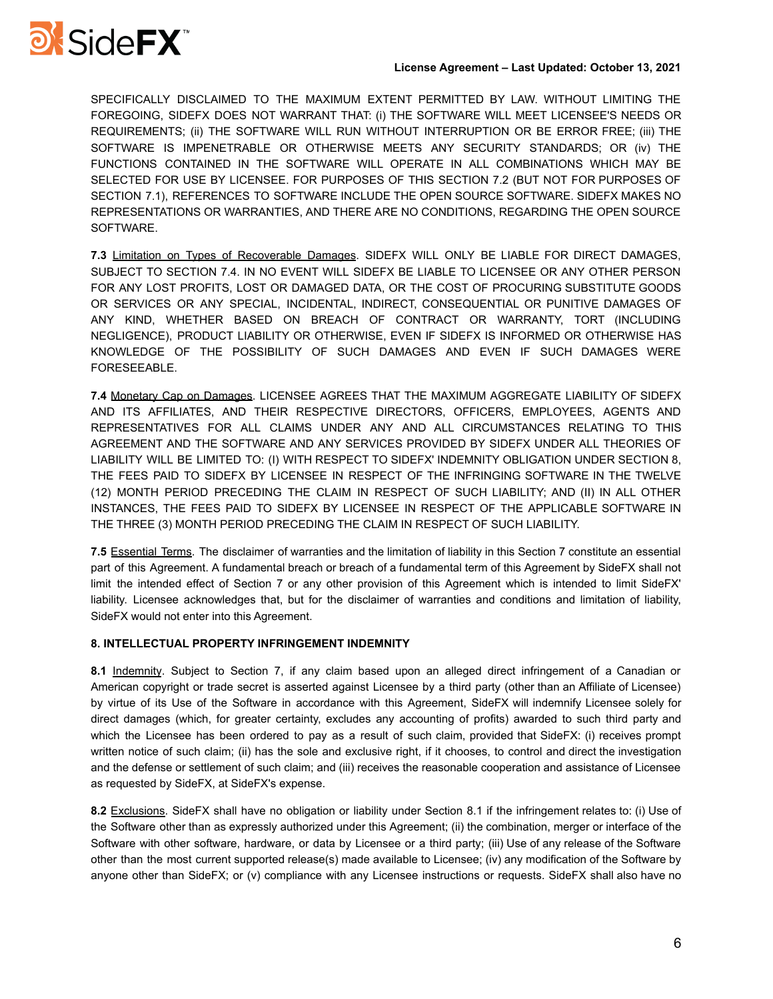

SPECIFICALLY DISCLAIMED TO THE MAXIMUM EXTENT PERMITTED BY LAW. WITHOUT LIMITING THE FOREGOING, SIDEFX DOES NOT WARRANT THAT: (i) THE SOFTWARE WILL MEET LICENSEE'S NEEDS OR REQUIREMENTS; (ii) THE SOFTWARE WILL RUN WITHOUT INTERRUPTION OR BE ERROR FREE; (iii) THE SOFTWARE IS IMPENETRABLE OR OTHERWISE MEETS ANY SECURITY STANDARDS; OR (iv) THE FUNCTIONS CONTAINED IN THE SOFTWARE WILL OPERATE IN ALL COMBINATIONS WHICH MAY BE SELECTED FOR USE BY LICENSEE. FOR PURPOSES OF THIS SECTION 7.2 (BUT NOT FOR PURPOSES OF SECTION 7.1), REFERENCES TO SOFTWARE INCLUDE THE OPEN SOURCE SOFTWARE. SIDEFX MAKES NO REPRESENTATIONS OR WARRANTIES, AND THERE ARE NO CONDITIONS, REGARDING THE OPEN SOURCE SOFTWARE.

**7.3** Limitation on Types of Recoverable Damages. SIDEFX WILL ONLY BE LIABLE FOR DIRECT DAMAGES, SUBJECT TO SECTION 7.4. IN NO EVENT WILL SIDEFX BE LIABLE TO LICENSEE OR ANY OTHER PERSON FOR ANY LOST PROFITS, LOST OR DAMAGED DATA, OR THE COST OF PROCURING SUBSTITUTE GOODS OR SERVICES OR ANY SPECIAL, INCIDENTAL, INDIRECT, CONSEQUENTIAL OR PUNITIVE DAMAGES OF ANY KIND, WHETHER BASED ON BREACH OF CONTRACT OR WARRANTY, TORT (INCLUDING NEGLIGENCE), PRODUCT LIABILITY OR OTHERWISE, EVEN IF SIDEFX IS INFORMED OR OTHERWISE HAS KNOWLEDGE OF THE POSSIBILITY OF SUCH DAMAGES AND EVEN IF SUCH DAMAGES WERE FORESEEABLE.

**7.4** Monetary Cap on Damages. LICENSEE AGREES THAT THE MAXIMUM AGGREGATE LIABILITY OF SIDEFX AND ITS AFFILIATES, AND THEIR RESPECTIVE DIRECTORS, OFFICERS, EMPLOYEES, AGENTS AND REPRESENTATIVES FOR ALL CLAIMS UNDER ANY AND ALL CIRCUMSTANCES RELATING TO THIS AGREEMENT AND THE SOFTWARE AND ANY SERVICES PROVIDED BY SIDEFX UNDER ALL THEORIES OF LIABILITY WILL BE LIMITED TO: (I) WITH RESPECT TO SIDEFX' INDEMNITY OBLIGATION UNDER SECTION 8, THE FEES PAID TO SIDEFX BY LICENSEE IN RESPECT OF THE INFRINGING SOFTWARE IN THE TWELVE (12) MONTH PERIOD PRECEDING THE CLAIM IN RESPECT OF SUCH LIABILITY; AND (II) IN ALL OTHER INSTANCES, THE FEES PAID TO SIDEFX BY LICENSEE IN RESPECT OF THE APPLICABLE SOFTWARE IN THE THREE (3) MONTH PERIOD PRECEDING THE CLAIM IN RESPECT OF SUCH LIABILITY.

**7.5** Essential Terms. The disclaimer of warranties and the limitation of liability in this Section 7 constitute an essential part of this Agreement. A fundamental breach or breach of a fundamental term of this Agreement by SideFX shall not limit the intended effect of Section 7 or any other provision of this Agreement which is intended to limit SideFX' liability. Licensee acknowledges that, but for the disclaimer of warranties and conditions and limitation of liability, SideFX would not enter into this Agreement.

# **8. INTELLECTUAL PROPERTY INFRINGEMENT INDEMNITY**

**8.1** Indemnity. Subject to Section 7, if any claim based upon an alleged direct infringement of a Canadian or American copyright or trade secret is asserted against Licensee by a third party (other than an Affiliate of Licensee) by virtue of its Use of the Software in accordance with this Agreement, SideFX will indemnify Licensee solely for direct damages (which, for greater certainty, excludes any accounting of profits) awarded to such third party and which the Licensee has been ordered to pay as a result of such claim, provided that SideFX: (i) receives prompt written notice of such claim; (ii) has the sole and exclusive right, if it chooses, to control and direct the investigation and the defense or settlement of such claim; and (iii) receives the reasonable cooperation and assistance of Licensee as requested by SideFX, at SideFX's expense.

**8.2** Exclusions. SideFX shall have no obligation or liability under Section 8.1 if the infringement relates to: (i) Use of the Software other than as expressly authorized under this Agreement; (ii) the combination, merger or interface of the Software with other software, hardware, or data by Licensee or a third party; (iii) Use of any release of the Software other than the most current supported release(s) made available to Licensee; (iv) any modification of the Software by anyone other than SideFX; or (v) compliance with any Licensee instructions or requests. SideFX shall also have no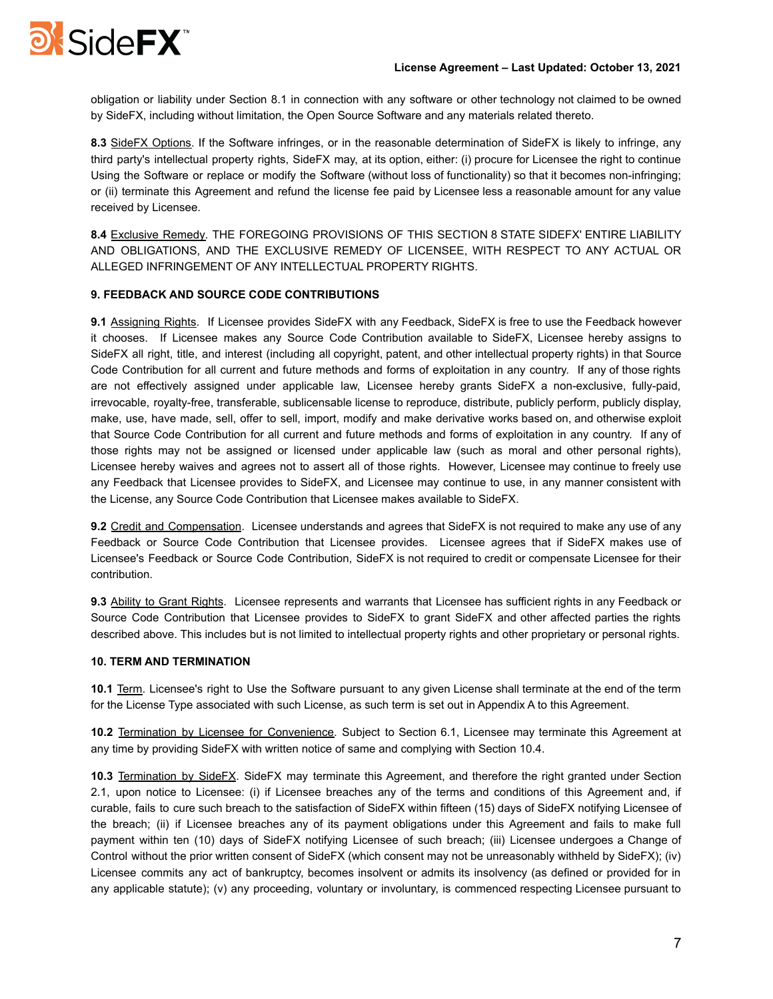

obligation or liability under Section 8.1 in connection with any software or other technology not claimed to be owned by SideFX, including without limitation, the Open Source Software and any materials related thereto.

**8.3** SideFX Options. If the Software infringes, or in the reasonable determination of SideFX is likely to infringe, any third party's intellectual property rights, SideFX may, at its option, either: (i) procure for Licensee the right to continue Using the Software or replace or modify the Software (without loss of functionality) so that it becomes non-infringing; or (ii) terminate this Agreement and refund the license fee paid by Licensee less a reasonable amount for any value received by Licensee.

**8.4** Exclusive Remedy. THE FOREGOING PROVISIONS OF THIS SECTION 8 STATE SIDEFX' ENTIRE LIABILITY AND OBLIGATIONS, AND THE EXCLUSIVE REMEDY OF LICENSEE, WITH RESPECT TO ANY ACTUAL OR ALLEGED INFRINGEMENT OF ANY INTELLECTUAL PROPERTY RIGHTS.

## **9. FEEDBACK AND SOURCE CODE CONTRIBUTIONS**

**9.1** Assigning Rights. If Licensee provides SideFX with any Feedback, SideFX is free to use the Feedback however it chooses. If Licensee makes any Source Code Contribution available to SideFX, Licensee hereby assigns to SideFX all right, title, and interest (including all copyright, patent, and other intellectual property rights) in that Source Code Contribution for all current and future methods and forms of exploitation in any country. If any of those rights are not effectively assigned under applicable law, Licensee hereby grants SideFX a non-exclusive, fully-paid, irrevocable, royalty-free, transferable, sublicensable license to reproduce, distribute, publicly perform, publicly display, make, use, have made, sell, offer to sell, import, modify and make derivative works based on, and otherwise exploit that Source Code Contribution for all current and future methods and forms of exploitation in any country. If any of those rights may not be assigned or licensed under applicable law (such as moral and other personal rights), Licensee hereby waives and agrees not to assert all of those rights. However, Licensee may continue to freely use any Feedback that Licensee provides to SideFX, and Licensee may continue to use, in any manner consistent with the License, any Source Code Contribution that Licensee makes available to SideFX.

**9.2** Credit and Compensation. Licensee understands and agrees that SideFX is not required to make any use of any Feedback or Source Code Contribution that Licensee provides. Licensee agrees that if SideFX makes use of Licensee's Feedback or Source Code Contribution, SideFX is not required to credit or compensate Licensee for their contribution.

**9.3** Ability to Grant Rights. Licensee represents and warrants that Licensee has sufficient rights in any Feedback or Source Code Contribution that Licensee provides to SideFX to grant SideFX and other affected parties the rights described above. This includes but is not limited to intellectual property rights and other proprietary or personal rights.

## **10. TERM AND TERMINATION**

**10.1** Term. Licensee's right to Use the Software pursuant to any given License shall terminate at the end of the term for the License Type associated with such License, as such term is set out in Appendix A to this Agreement.

**10.2** Termination by Licensee for Convenience. Subject to Section 6.1, Licensee may terminate this Agreement at any time by providing SideFX with written notice of same and complying with Section 10.4.

**10.3** Termination by SideFX. SideFX may terminate this Agreement, and therefore the right granted under Section 2.1, upon notice to Licensee: (i) if Licensee breaches any of the terms and conditions of this Agreement and, if curable, fails to cure such breach to the satisfaction of SideFX within fifteen (15) days of SideFX notifying Licensee of the breach; (ii) if Licensee breaches any of its payment obligations under this Agreement and fails to make full payment within ten (10) days of SideFX notifying Licensee of such breach; (iii) Licensee undergoes a Change of Control without the prior written consent of SideFX (which consent may not be unreasonably withheld by SideFX); (iv) Licensee commits any act of bankruptcy, becomes insolvent or admits its insolvency (as defined or provided for in any applicable statute); (v) any proceeding, voluntary or involuntary, is commenced respecting Licensee pursuant to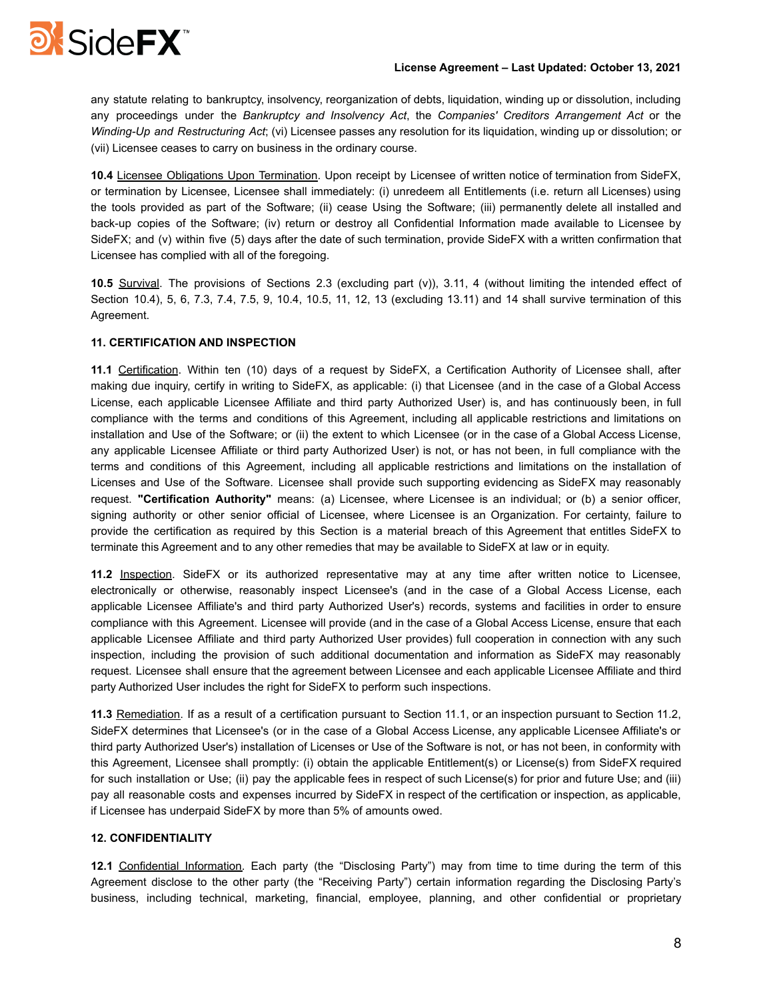

## **License Agreement – Last Updated: October 13, 2021**

any statute relating to bankruptcy, insolvency, reorganization of debts, liquidation, winding up or dissolution, including any proceedings under the *Bankruptcy and Insolvency Act*, the *Companies' Creditors Arrangement Act* or the *Winding-Up and Restructuring Act*; (vi) Licensee passes any resolution for its liquidation, winding up or dissolution; or (vii) Licensee ceases to carry on business in the ordinary course.

**10.4** Licensee Obligations Upon Termination. Upon receipt by Licensee of written notice of termination from SideFX, or termination by Licensee, Licensee shall immediately: (i) unredeem all Entitlements (i.e. return all Licenses) using the tools provided as part of the Software; (ii) cease Using the Software; (iii) permanently delete all installed and back-up copies of the Software; (iv) return or destroy all Confidential Information made available to Licensee by SideFX; and (v) within five (5) days after the date of such termination, provide SideFX with a written confirmation that Licensee has complied with all of the foregoing.

**10.5** Survival. The provisions of Sections 2.3 (excluding part (v)), 3.11, 4 (without limiting the intended effect of Section 10.4), 5, 6, 7.3, 7.4, 7.5, 9, 10.4, 10.5, 11, 12, 13 (excluding 13.11) and 14 shall survive termination of this Agreement.

# **11. CERTIFICATION AND INSPECTION**

**11.1** Certification. Within ten (10) days of a request by SideFX, a Certification Authority of Licensee shall, after making due inquiry, certify in writing to SideFX, as applicable: (i) that Licensee (and in the case of a Global Access License, each applicable Licensee Affiliate and third party Authorized User) is, and has continuously been, in full compliance with the terms and conditions of this Agreement, including all applicable restrictions and limitations on installation and Use of the Software; or (ii) the extent to which Licensee (or in the case of a Global Access License, any applicable Licensee Affiliate or third party Authorized User) is not, or has not been, in full compliance with the terms and conditions of this Agreement, including all applicable restrictions and limitations on the installation of Licenses and Use of the Software. Licensee shall provide such supporting evidencing as SideFX may reasonably request. **"Certification Authority"** means: (a) Licensee, where Licensee is an individual; or (b) a senior officer, signing authority or other senior official of Licensee, where Licensee is an Organization. For certainty, failure to provide the certification as required by this Section is a material breach of this Agreement that entitles SideFX to terminate this Agreement and to any other remedies that may be available to SideFX at law or in equity.

**11.2** Inspection. SideFX or its authorized representative may at any time after written notice to Licensee, electronically or otherwise, reasonably inspect Licensee's (and in the case of a Global Access License, each applicable Licensee Affiliate's and third party Authorized User's) records, systems and facilities in order to ensure compliance with this Agreement. Licensee will provide (and in the case of a Global Access License, ensure that each applicable Licensee Affiliate and third party Authorized User provides) full cooperation in connection with any such inspection, including the provision of such additional documentation and information as SideFX may reasonably request. Licensee shall ensure that the agreement between Licensee and each applicable Licensee Affiliate and third party Authorized User includes the right for SideFX to perform such inspections.

**11.3** Remediation. If as a result of a certification pursuant to Section 11.1, or an inspection pursuant to Section 11.2, SideFX determines that Licensee's (or in the case of a Global Access License, any applicable Licensee Affiliate's or third party Authorized User's) installation of Licenses or Use of the Software is not, or has not been, in conformity with this Agreement, Licensee shall promptly: (i) obtain the applicable Entitlement(s) or License(s) from SideFX required for such installation or Use; (ii) pay the applicable fees in respect of such License(s) for prior and future Use; and (iii) pay all reasonable costs and expenses incurred by SideFX in respect of the certification or inspection, as applicable, if Licensee has underpaid SideFX by more than 5% of amounts owed.

# **12. CONFIDENTIALITY**

**12.1** Confidential Information. Each party (the "Disclosing Party") may from time to time during the term of this Agreement disclose to the other party (the "Receiving Party") certain information regarding the Disclosing Party's business, including technical, marketing, financial, employee, planning, and other confidential or proprietary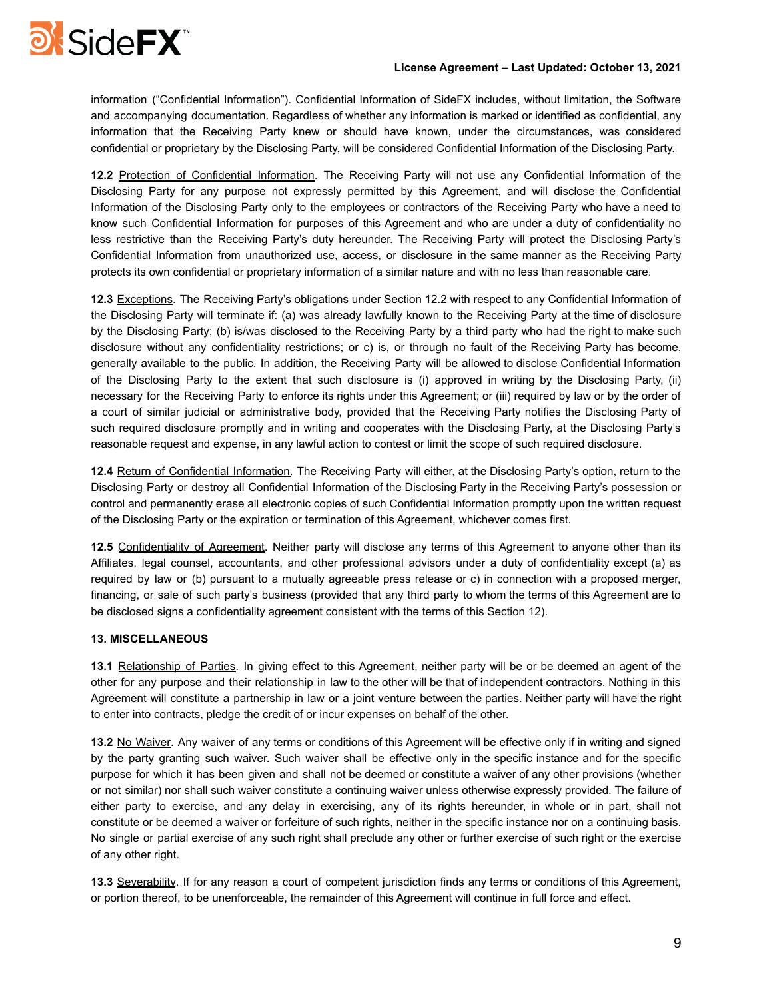

## **License Agreement – Last Updated: October 13, 2021**

information ("Confidential Information"). Confidential Information of SideFX includes, without limitation, the Software and accompanying documentation. Regardless of whether any information is marked or identified as confidential, any information that the Receiving Party knew or should have known, under the circumstances, was considered confidential or proprietary by the Disclosing Party, will be considered Confidential Information of the Disclosing Party.

**12.2** Protection of Confidential Information. The Receiving Party will not use any Confidential Information of the Disclosing Party for any purpose not expressly permitted by this Agreement, and will disclose the Confidential Information of the Disclosing Party only to the employees or contractors of the Receiving Party who have a need to know such Confidential Information for purposes of this Agreement and who are under a duty of confidentiality no less restrictive than the Receiving Party's duty hereunder. The Receiving Party will protect the Disclosing Party's Confidential Information from unauthorized use, access, or disclosure in the same manner as the Receiving Party protects its own confidential or proprietary information of a similar nature and with no less than reasonable care.

**12.3** Exceptions. The Receiving Party's obligations under Section 12.2 with respect to any Confidential Information of the Disclosing Party will terminate if: (a) was already lawfully known to the Receiving Party at the time of disclosure by the Disclosing Party; (b) is/was disclosed to the Receiving Party by a third party who had the right to make such disclosure without any confidentiality restrictions; or c) is, or through no fault of the Receiving Party has become, generally available to the public. In addition, the Receiving Party will be allowed to disclose Confidential Information of the Disclosing Party to the extent that such disclosure is (i) approved in writing by the Disclosing Party, (ii) necessary for the Receiving Party to enforce its rights under this Agreement; or (iii) required by law or by the order of a court of similar judicial or administrative body, provided that the Receiving Party notifies the Disclosing Party of such required disclosure promptly and in writing and cooperates with the Disclosing Party, at the Disclosing Party's reasonable request and expense, in any lawful action to contest or limit the scope of such required disclosure.

**12.4** Return of Confidential Information. The Receiving Party will either, at the Disclosing Party's option, return to the Disclosing Party or destroy all Confidential Information of the Disclosing Party in the Receiving Party's possession or control and permanently erase all electronic copies of such Confidential Information promptly upon the written request of the Disclosing Party or the expiration or termination of this Agreement, whichever comes first.

**12.5** Confidentiality of Agreement. Neither party will disclose any terms of this Agreement to anyone other than its Affiliates, legal counsel, accountants, and other professional advisors under a duty of confidentiality except (a) as required by law or (b) pursuant to a mutually agreeable press release or c) in connection with a proposed merger, financing, or sale of such party's business (provided that any third party to whom the terms of this Agreement are to be disclosed signs a confidentiality agreement consistent with the terms of this Section 12).

# **13. MISCELLANEOUS**

**13.1** Relationship of Parties. In giving effect to this Agreement, neither party will be or be deemed an agent of the other for any purpose and their relationship in law to the other will be that of independent contractors. Nothing in this Agreement will constitute a partnership in law or a joint venture between the parties. Neither party will have the right to enter into contracts, pledge the credit of or incur expenses on behalf of the other.

**13.2** No Waiver. Any waiver of any terms or conditions of this Agreement will be effective only if in writing and signed by the party granting such waiver. Such waiver shall be effective only in the specific instance and for the specific purpose for which it has been given and shall not be deemed or constitute a waiver of any other provisions (whether or not similar) nor shall such waiver constitute a continuing waiver unless otherwise expressly provided. The failure of either party to exercise, and any delay in exercising, any of its rights hereunder, in whole or in part, shall not constitute or be deemed a waiver or forfeiture of such rights, neither in the specific instance nor on a continuing basis. No single or partial exercise of any such right shall preclude any other or further exercise of such right or the exercise of any other right.

**13.3** Severability. If for any reason a court of competent jurisdiction finds any terms or conditions of this Agreement, or portion thereof, to be unenforceable, the remainder of this Agreement will continue in full force and effect.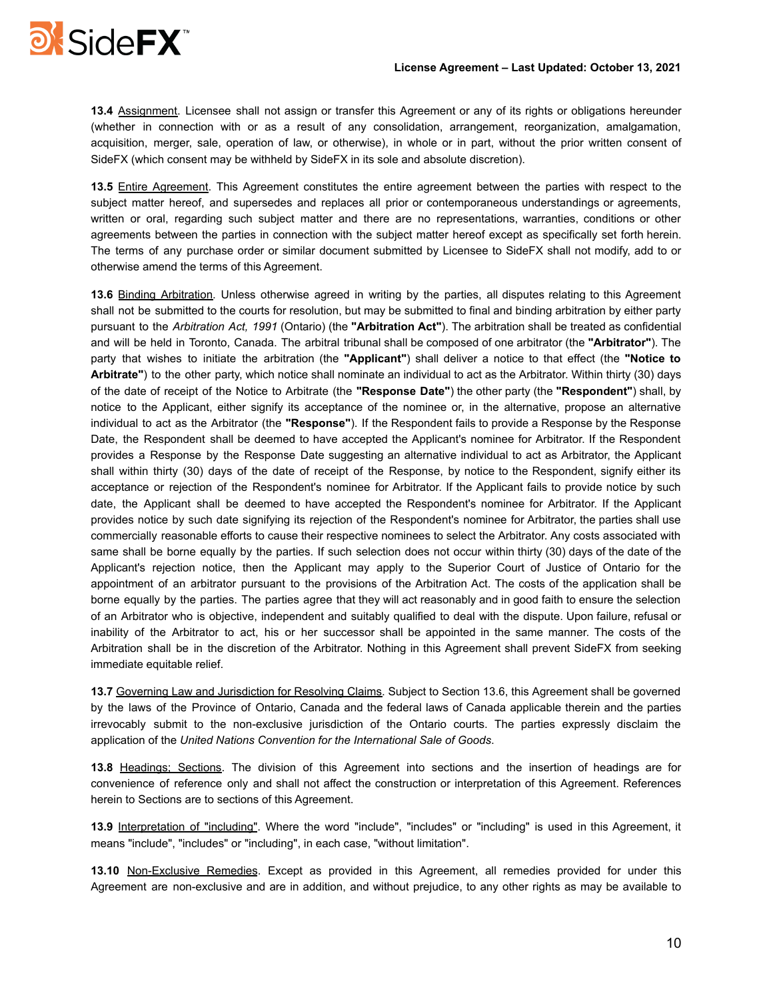

**13.4** Assignment. Licensee shall not assign or transfer this Agreement or any of its rights or obligations hereunder (whether in connection with or as a result of any consolidation, arrangement, reorganization, amalgamation, acquisition, merger, sale, operation of law, or otherwise), in whole or in part, without the prior written consent of SideFX (which consent may be withheld by SideFX in its sole and absolute discretion).

**13.5** Entire Agreement. This Agreement constitutes the entire agreement between the parties with respect to the subject matter hereof, and supersedes and replaces all prior or contemporaneous understandings or agreements, written or oral, regarding such subject matter and there are no representations, warranties, conditions or other agreements between the parties in connection with the subject matter hereof except as specifically set forth herein. The terms of any purchase order or similar document submitted by Licensee to SideFX shall not modify, add to or otherwise amend the terms of this Agreement.

**13.6** Binding Arbitration. Unless otherwise agreed in writing by the parties, all disputes relating to this Agreement shall not be submitted to the courts for resolution, but may be submitted to final and binding arbitration by either party pursuant to the *Arbitration Act, 1991* (Ontario) (the **"Arbitration Act"**). The arbitration shall be treated as confidential and will be held in Toronto, Canada. The arbitral tribunal shall be composed of one arbitrator (the **"Arbitrator"**). The party that wishes to initiate the arbitration (the **"Applicant"**) shall deliver a notice to that effect (the **"Notice to Arbitrate"**) to the other party, which notice shall nominate an individual to act as the Arbitrator. Within thirty (30) days of the date of receipt of the Notice to Arbitrate (the **"Response Date"**) the other party (the **"Respondent"**) shall, by notice to the Applicant, either signify its acceptance of the nominee or, in the alternative, propose an alternative individual to act as the Arbitrator (the **"Response"**). If the Respondent fails to provide a Response by the Response Date, the Respondent shall be deemed to have accepted the Applicant's nominee for Arbitrator. If the Respondent provides a Response by the Response Date suggesting an alternative individual to act as Arbitrator, the Applicant shall within thirty (30) days of the date of receipt of the Response, by notice to the Respondent, signify either its acceptance or rejection of the Respondent's nominee for Arbitrator. If the Applicant fails to provide notice by such date, the Applicant shall be deemed to have accepted the Respondent's nominee for Arbitrator. If the Applicant provides notice by such date signifying its rejection of the Respondent's nominee for Arbitrator, the parties shall use commercially reasonable efforts to cause their respective nominees to select the Arbitrator. Any costs associated with same shall be borne equally by the parties. If such selection does not occur within thirty (30) days of the date of the Applicant's rejection notice, then the Applicant may apply to the Superior Court of Justice of Ontario for the appointment of an arbitrator pursuant to the provisions of the Arbitration Act. The costs of the application shall be borne equally by the parties. The parties agree that they will act reasonably and in good faith to ensure the selection of an Arbitrator who is objective, independent and suitably qualified to deal with the dispute. Upon failure, refusal or inability of the Arbitrator to act, his or her successor shall be appointed in the same manner. The costs of the Arbitration shall be in the discretion of the Arbitrator. Nothing in this Agreement shall prevent SideFX from seeking immediate equitable relief.

**13.7** Governing Law and Jurisdiction for Resolving Claims. Subject to Section 13.6, this Agreement shall be governed by the laws of the Province of Ontario, Canada and the federal laws of Canada applicable therein and the parties irrevocably submit to the non-exclusive jurisdiction of the Ontario courts. The parties expressly disclaim the application of the *United Nations Convention for the International Sale of Goods*.

**13.8** Headings; Sections. The division of this Agreement into sections and the insertion of headings are for convenience of reference only and shall not affect the construction or interpretation of this Agreement. References herein to Sections are to sections of this Agreement.

**13.9** Interpretation of "including". Where the word "include", "includes" or "including" is used in this Agreement, it means "include", "includes" or "including", in each case, "without limitation".

**13.10** Non-Exclusive Remedies. Except as provided in this Agreement, all remedies provided for under this Agreement are non-exclusive and are in addition, and without prejudice, to any other rights as may be available to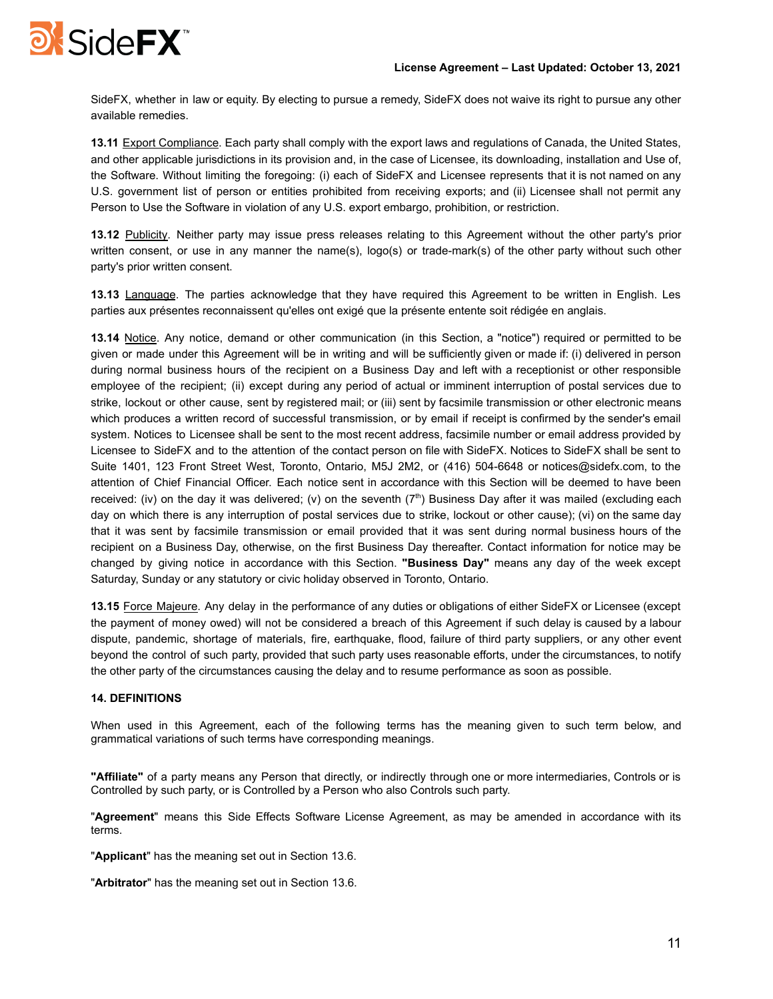

SideFX, whether in law or equity. By electing to pursue a remedy, SideFX does not waive its right to pursue any other available remedies.

**13.11** Export Compliance. Each party shall comply with the export laws and regulations of Canada, the United States, and other applicable jurisdictions in its provision and, in the case of Licensee, its downloading, installation and Use of, the Software. Without limiting the foregoing: (i) each of SideFX and Licensee represents that it is not named on any U.S. government list of person or entities prohibited from receiving exports; and (ii) Licensee shall not permit any Person to Use the Software in violation of any U.S. export embargo, prohibition, or restriction.

**13.12** Publicity. Neither party may issue press releases relating to this Agreement without the other party's prior written consent, or use in any manner the name(s), logo(s) or trade-mark(s) of the other party without such other party's prior written consent.

**13.13** Language. The parties acknowledge that they have required this Agreement to be written in English. Les parties aux présentes reconnaissent qu'elles ont exigé que la présente entente soit rédigée en anglais.

**13.14** Notice. Any notice, demand or other communication (in this Section, a "notice") required or permitted to be given or made under this Agreement will be in writing and will be sufficiently given or made if: (i) delivered in person during normal business hours of the recipient on a Business Day and left with a receptionist or other responsible employee of the recipient; (ii) except during any period of actual or imminent interruption of postal services due to strike, lockout or other cause, sent by registered mail; or (iii) sent by facsimile transmission or other electronic means which produces a written record of successful transmission, or by email if receipt is confirmed by the sender's email system. Notices to Licensee shall be sent to the most recent address, facsimile number or email address provided by Licensee to SideFX and to the attention of the contact person on file with SideFX. Notices to SideFX shall be sent to Suite 1401, 123 Front Street West, Toronto, Ontario, M5J 2M2, or (416) 504-6648 or notices@sidefx.com, to the attention of Chief Financial Officer. Each notice sent in accordance with this Section will be deemed to have been received: (iv) on the day it was delivered; (v) on the seventh  $(7<sup>th</sup>)$  Business Day after it was mailed (excluding each day on which there is any interruption of postal services due to strike, lockout or other cause); (vi) on the same day that it was sent by facsimile transmission or email provided that it was sent during normal business hours of the recipient on a Business Day, otherwise, on the first Business Day thereafter. Contact information for notice may be changed by giving notice in accordance with this Section. **"Business Day"** means any day of the week except Saturday, Sunday or any statutory or civic holiday observed in Toronto, Ontario.

**13.15** Force Majeure. Any delay in the performance of any duties or obligations of either SideFX or Licensee (except the payment of money owed) will not be considered a breach of this Agreement if such delay is caused by a labour dispute, pandemic, shortage of materials, fire, earthquake, flood, failure of third party suppliers, or any other event beyond the control of such party, provided that such party uses reasonable efforts, under the circumstances, to notify the other party of the circumstances causing the delay and to resume performance as soon as possible.

## **14. DEFINITIONS**

When used in this Agreement, each of the following terms has the meaning given to such term below, and grammatical variations of such terms have corresponding meanings.

**"Affiliate"** of a party means any Person that directly, or indirectly through one or more intermediaries, Controls or is Controlled by such party, or is Controlled by a Person who also Controls such party.

"**Agreement**" means this Side Effects Software License Agreement, as may be amended in accordance with its terms.

"**Applicant**" has the meaning set out in Section 13.6.

"**Arbitrator**" has the meaning set out in Section 13.6.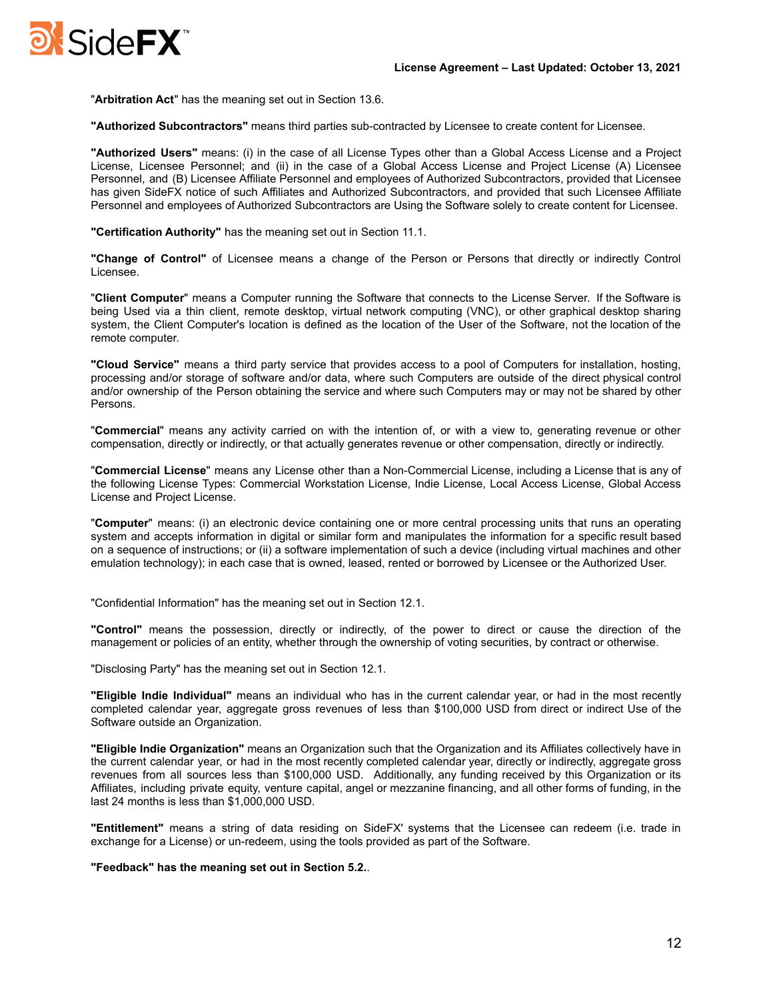

"**Arbitration Act**" has the meaning set out in Section 13.6.

**"Authorized Subcontractors"** means third parties sub-contracted by Licensee to create content for Licensee.

**"Authorized Users"** means: (i) in the case of all License Types other than a Global Access License and a Project License, Licensee Personnel; and (ii) in the case of a Global Access License and Project License (A) Licensee Personnel, and (B) Licensee Affiliate Personnel and employees of Authorized Subcontractors, provided that Licensee has given SideFX notice of such Affiliates and Authorized Subcontractors, and provided that such Licensee Affiliate Personnel and employees of Authorized Subcontractors are Using the Software solely to create content for Licensee.

**"Certification Authority"** has the meaning set out in Section 11.1.

**"Change of Control"** of Licensee means a change of the Person or Persons that directly or indirectly Control Licensee.

"**Client Computer**" means a Computer running the Software that connects to the License Server. If the Software is being Used via a thin client, remote desktop, virtual network computing (VNC), or other graphical desktop sharing system, the Client Computer's location is defined as the location of the User of the Software, not the location of the remote computer.

**"Cloud Service"** means a third party service that provides access to a pool of Computers for installation, hosting, processing and/or storage of software and/or data, where such Computers are outside of the direct physical control and/or ownership of the Person obtaining the service and where such Computers may or may not be shared by other Persons.

"**Commercial**" means any activity carried on with the intention of, or with a view to, generating revenue or other compensation, directly or indirectly, or that actually generates revenue or other compensation, directly or indirectly.

"**Commercial License**" means any License other than a Non-Commercial License, including a License that is any of the following License Types: Commercial Workstation License, Indie License, Local Access License, Global Access License and Project License.

"**Computer**" means: (i) an electronic device containing one or more central processing units that runs an operating system and accepts information in digital or similar form and manipulates the information for a specific result based on a sequence of instructions; or (ii) a software implementation of such a device (including virtual machines and other emulation technology); in each case that is owned, leased, rented or borrowed by Licensee or the Authorized User.

"Confidential Information" has the meaning set out in Section 12.1.

**"Control"** means the possession, directly or indirectly, of the power to direct or cause the direction of the management or policies of an entity, whether through the ownership of voting securities, by contract or otherwise.

"Disclosing Party" has the meaning set out in Section 12.1.

**"Eligible Indie Individual"** means an individual who has in the current calendar year, or had in the most recently completed calendar year, aggregate gross revenues of less than \$100,000 USD from direct or indirect Use of the Software outside an Organization.

**"Eligible Indie Organization"** means an Organization such that the Organization and its Affiliates collectively have in the current calendar year, or had in the most recently completed calendar year, directly or indirectly, aggregate gross revenues from all sources less than \$100,000 USD. Additionally, any funding received by this Organization or its Affiliates, including private equity, venture capital, angel or mezzanine financing, and all other forms of funding, in the last 24 months is less than \$1,000,000 USD.

**"Entitlement"** means a string of data residing on SideFX' systems that the Licensee can redeem (i.e. trade in exchange for a License) or un-redeem, using the tools provided as part of the Software.

**"Feedback" has the meaning set out in Section 5.2.**.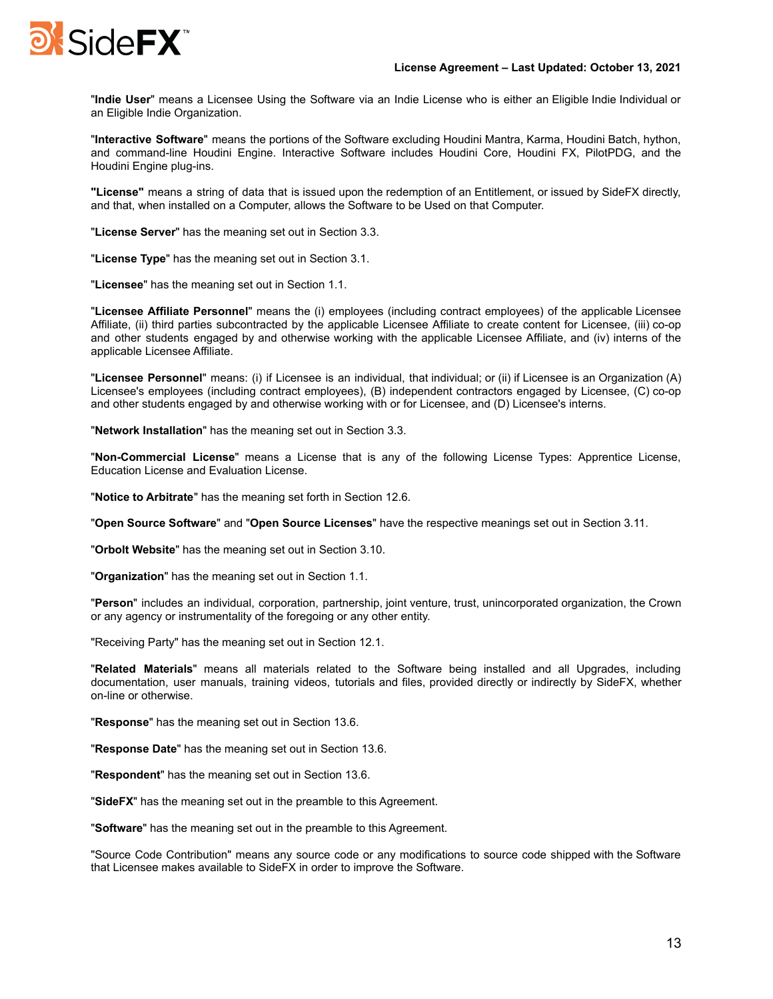

"**Indie User**" means a Licensee Using the Software via an Indie License who is either an Eligible Indie Individual or an Eligible Indie Organization.

"**Interactive Software**" means the portions of the Software excluding Houdini Mantra, Karma, Houdini Batch, hython, and command-line Houdini Engine. Interactive Software includes Houdini Core, Houdini FX, PilotPDG, and the Houdini Engine plug-ins.

**"License"** means a string of data that is issued upon the redemption of an Entitlement, or issued by SideFX directly, and that, when installed on a Computer, allows the Software to be Used on that Computer.

"**License Server**" has the meaning set out in Section 3.3.

"**License Type**" has the meaning set out in Section 3.1.

"**Licensee**" has the meaning set out in Section 1.1.

"**Licensee Affiliate Personnel**" means the (i) employees (including contract employees) of the applicable Licensee Affiliate, (ii) third parties subcontracted by the applicable Licensee Affiliate to create content for Licensee, (iii) co-op and other students engaged by and otherwise working with the applicable Licensee Affiliate, and (iv) interns of the applicable Licensee Affiliate.

"**Licensee Personnel**" means: (i) if Licensee is an individual, that individual; or (ii) if Licensee is an Organization (A) Licensee's employees (including contract employees), (B) independent contractors engaged by Licensee, (C) co-op and other students engaged by and otherwise working with or for Licensee, and (D) Licensee's interns.

"**Network Installation**" has the meaning set out in Section 3.3.

"**Non-Commercial License**" means a License that is any of the following License Types: Apprentice License, Education License and Evaluation License.

"**Notice to Arbitrate**" has the meaning set forth in Section 12.6.

"**Open Source Software**" and "**Open Source Licenses**" have the respective meanings set out in Section 3.11.

"**Orbolt Website**" has the meaning set out in Section 3.10.

"**Organization**" has the meaning set out in Section 1.1.

"**Person**" includes an individual, corporation, partnership, joint venture, trust, unincorporated organization, the Crown or any agency or instrumentality of the foregoing or any other entity.

"Receiving Party" has the meaning set out in Section 12.1.

"**Related Materials**" means all materials related to the Software being installed and all Upgrades, including documentation, user manuals, training videos, tutorials and files, provided directly or indirectly by SideFX, whether on-line or otherwise.

"**Response**" has the meaning set out in Section 13.6.

"**Response Date**" has the meaning set out in Section 13.6.

"**Respondent**" has the meaning set out in Section 13.6.

"**SideFX**" has the meaning set out in the preamble to this Agreement.

"**Software**" has the meaning set out in the preamble to this Agreement.

"Source Code Contribution" means any source code or any modifications to source code shipped with the Software that Licensee makes available to SideFX in order to improve the Software.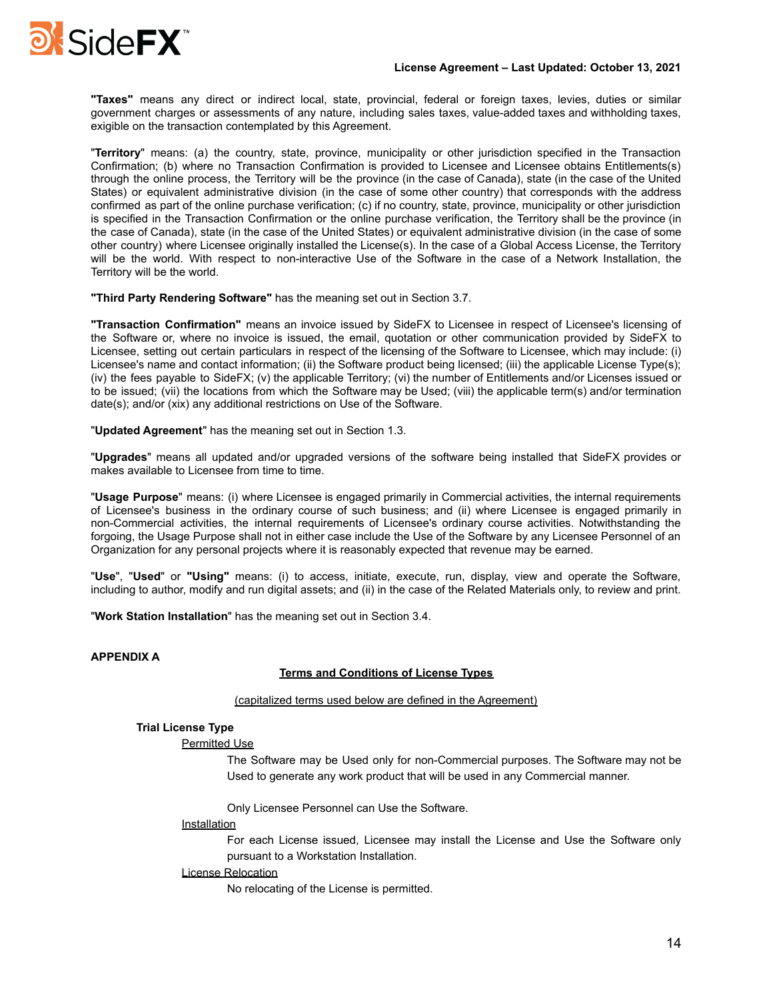

**"Taxes"** means any direct or indirect local, state, provincial, federal or foreign taxes, levies, duties or similar government charges or assessments of any nature, including sales taxes, value-added taxes and withholding taxes, exigible on the transaction contemplated by this Agreement.

"**Territory**" means: (a) the country, state, province, municipality or other jurisdiction specified in the Transaction Confirmation; (b) where no Transaction Confirmation is provided to Licensee and Licensee obtains Entitlements(s) through the online process, the Territory will be the province (in the case of Canada), state (in the case of the United States) or equivalent administrative division (in the case of some other country) that corresponds with the address confirmed as part of the online purchase verification; (c) if no country, state, province, municipality or other jurisdiction is specified in the Transaction Confirmation or the online purchase verification, the Territory shall be the province (in the case of Canada), state (in the case of the United States) or equivalent administrative division (in the case of some other country) where Licensee originally installed the License(s). In the case of a Global Access License, the Territory will be the world. With respect to non-interactive Use of the Software in the case of a Network Installation, the Territory will be the world.

**"Third Party Rendering Software"** has the meaning set out in Section 3.7.

**"Transaction Confirmation"** means an invoice issued by SideFX to Licensee in respect of Licensee's licensing of the Software or, where no invoice is issued, the email, quotation or other communication provided by SideFX to Licensee, setting out certain particulars in respect of the licensing of the Software to Licensee, which may include: (i) Licensee's name and contact information; (ii) the Software product being licensed; (iii) the applicable License Type(s); (iv) the fees payable to SideFX; (v) the applicable Territory; (vi) the number of Entitlements and/or Licenses issued or to be issued; (vii) the locations from which the Software may be Used; (viii) the applicable term(s) and/or termination date(s); and/or (xix) any additional restrictions on Use of the Software.

"**Updated Agreement**" has the meaning set out in Section 1.3.

"**Upgrades**" means all updated and/or upgraded versions of the software being installed that SideFX provides or makes available to Licensee from time to time.

"**Usage Purpose**" means: (i) where Licensee is engaged primarily in Commercial activities, the internal requirements of Licensee's business in the ordinary course of such business; and (ii) where Licensee is engaged primarily in non-Commercial activities, the internal requirements of Licensee's ordinary course activities. Notwithstanding the forgoing, the Usage Purpose shall not in either case include the Use of the Software by any Licensee Personnel of an Organization for any personal projects where it is reasonably expected that revenue may be earned.

"**Use**", "**Used**" or **"Using"** means: (i) to access, initiate, execute, run, display, view and operate the Software, including to author, modify and run digital assets; and (ii) in the case of the Related Materials only, to review and print.

"**Work Station Installation**" has the meaning set out in Section 3.4.

## **APPENDIX A**

# **Terms and Conditions of License Types**

#### (capitalized terms used below are defined in the Agreement)

## **Trial License Type**

## Permitted Use

The Software may be Used only for non-Commercial purposes. The Software may not be Used to generate any work product that will be used in any Commercial manner.

Only Licensee Personnel can Use the Software.

## **Installation**

For each License issued, Licensee may install the License and Use the Software only pursuant to a Workstation Installation.

#### License Relocation

No relocating of the License is permitted.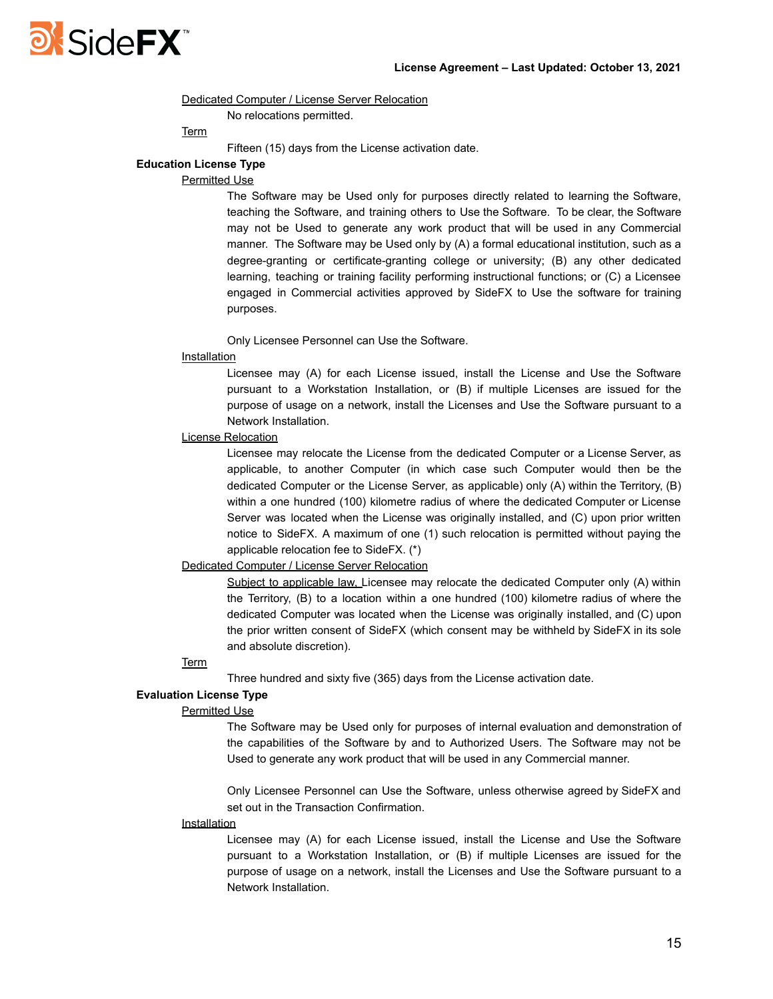

#### Dedicated Computer / License Server Relocation

No relocations permitted.

**Term** 

Fifteen (15) days from the License activation date.

# **Education License Type**

# Permitted Use

The Software may be Used only for purposes directly related to learning the Software, teaching the Software, and training others to Use the Software. To be clear, the Software may not be Used to generate any work product that will be used in any Commercial manner. The Software may be Used only by (A) a formal educational institution, such as a degree-granting or certificate-granting college or university; (B) any other dedicated learning, teaching or training facility performing instructional functions; or (C) a Licensee engaged in Commercial activities approved by SideFX to Use the software for training purposes.

Only Licensee Personnel can Use the Software.

## Installation

Licensee may (A) for each License issued, install the License and Use the Software pursuant to a Workstation Installation, or (B) if multiple Licenses are issued for the purpose of usage on a network, install the Licenses and Use the Software pursuant to a Network Installation.

## License Relocation

Licensee may relocate the License from the dedicated Computer or a License Server, as applicable, to another Computer (in which case such Computer would then be the dedicated Computer or the License Server, as applicable) only (A) within the Territory, (B) within a one hundred (100) kilometre radius of where the dedicated Computer or License Server was located when the License was originally installed, and (C) upon prior written notice to SideFX. A maximum of one (1) such relocation is permitted without paying the applicable relocation fee to SideFX. (\*)

#### Dedicated Computer / License Server Relocation

Subject to applicable law, Licensee may relocate the dedicated Computer only (A) within the Territory, (B) to a location within a one hundred (100) kilometre radius of where the dedicated Computer was located when the License was originally installed, and (C) upon the prior written consent of SideFX (which consent may be withheld by SideFX in its sole and absolute discretion).

#### Term

Three hundred and sixty five (365) days from the License activation date.

#### **Evaluation License Type**

#### Permitted Use

The Software may be Used only for purposes of internal evaluation and demonstration of the capabilities of the Software by and to Authorized Users. The Software may not be Used to generate any work product that will be used in any Commercial manner.

Only Licensee Personnel can Use the Software, unless otherwise agreed by SideFX and set out in the Transaction Confirmation.

#### Installation

Licensee may (A) for each License issued, install the License and Use the Software pursuant to a Workstation Installation, or (B) if multiple Licenses are issued for the purpose of usage on a network, install the Licenses and Use the Software pursuant to a Network Installation.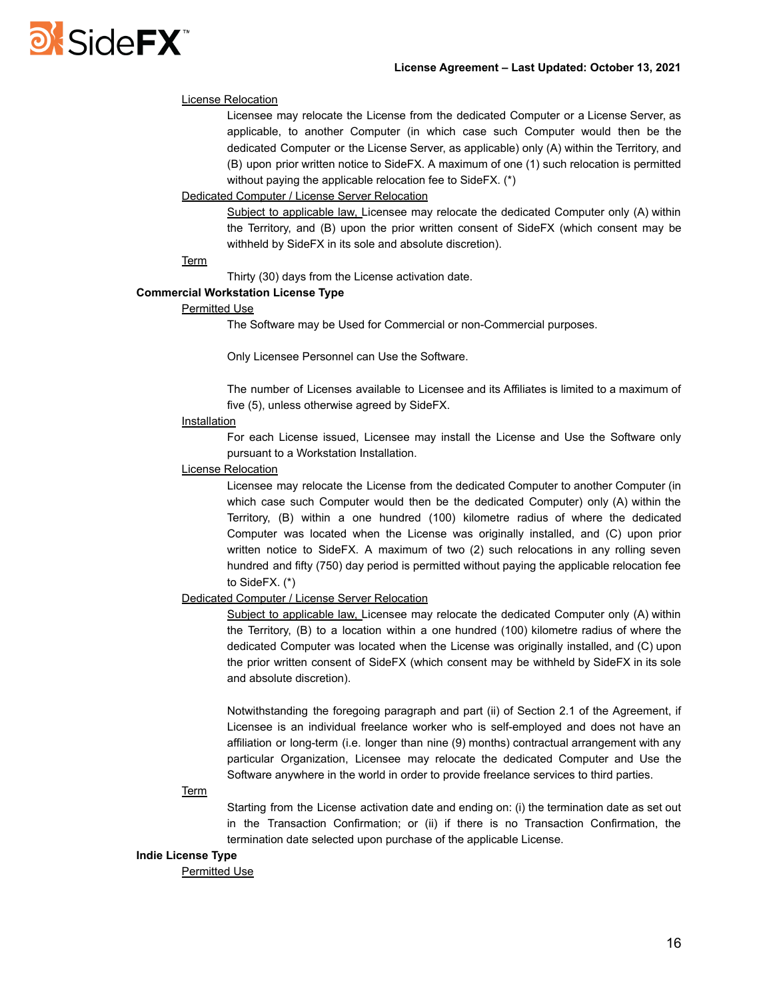# **DI SideFX**

## License Relocation

Licensee may relocate the License from the dedicated Computer or a License Server, as applicable, to another Computer (in which case such Computer would then be the dedicated Computer or the License Server, as applicable) only (A) within the Territory, and (B) upon prior written notice to SideFX. A maximum of one (1) such relocation is permitted without paying the applicable relocation fee to SideFX. (\*)

## Dedicated Computer / License Server Relocation

Subject to applicable law, Licensee may relocate the dedicated Computer only (A) within the Territory, and (B) upon the prior written consent of SideFX (which consent may be withheld by SideFX in its sole and absolute discretion).

#### Term

Thirty (30) days from the License activation date.

## **Commercial Workstation License Type**

#### Permitted Use

The Software may be Used for Commercial or non-Commercial purposes.

Only Licensee Personnel can Use the Software.

The number of Licenses available to Licensee and its Affiliates is limited to a maximum of five (5), unless otherwise agreed by SideFX.

## **Installation**

For each License issued, Licensee may install the License and Use the Software only pursuant to a Workstation Installation.

## License Relocation

Licensee may relocate the License from the dedicated Computer to another Computer (in which case such Computer would then be the dedicated Computer) only (A) within the Territory, (B) within a one hundred (100) kilometre radius of where the dedicated Computer was located when the License was originally installed, and (C) upon prior written notice to SideFX. A maximum of two (2) such relocations in any rolling seven hundred and fifty (750) day period is permitted without paying the applicable relocation fee to SideFX. (\*)

## Dedicated Computer / License Server Relocation

Subject to applicable law, Licensee may relocate the dedicated Computer only (A) within the Territory, (B) to a location within a one hundred (100) kilometre radius of where the dedicated Computer was located when the License was originally installed, and (C) upon the prior written consent of SideFX (which consent may be withheld by SideFX in its sole and absolute discretion).

Notwithstanding the foregoing paragraph and part (ii) of Section 2.1 of the Agreement, if Licensee is an individual freelance worker who is self-employed and does not have an affiliation or long-term (i.e. longer than nine (9) months) contractual arrangement with any particular Organization, Licensee may relocate the dedicated Computer and Use the Software anywhere in the world in order to provide freelance services to third parties.

## **Term**

Starting from the License activation date and ending on: (i) the termination date as set out in the Transaction Confirmation; or (ii) if there is no Transaction Confirmation, the termination date selected upon purchase of the applicable License.

## **Indie License Type**

Permitted Use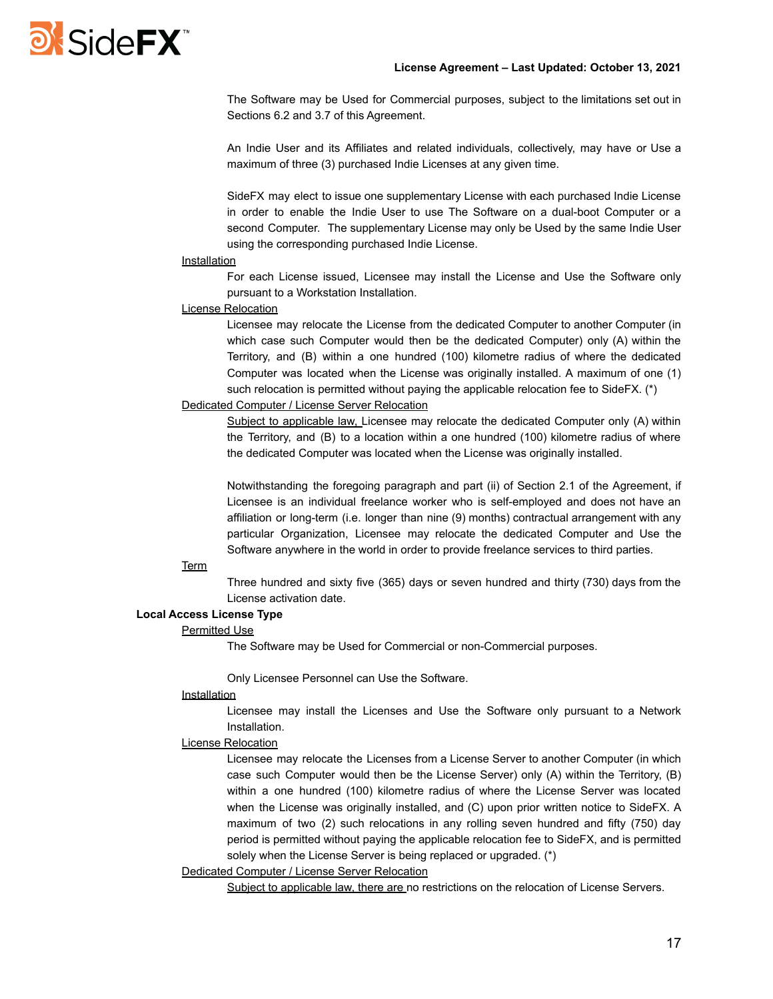

The Software may be Used for Commercial purposes, subject to the limitations set out in Sections 6.2 and 3.7 of this Agreement.

An Indie User and its Affiliates and related individuals, collectively, may have or Use a maximum of three (3) purchased Indie Licenses at any given time.

SideFX may elect to issue one supplementary License with each purchased Indie License in order to enable the Indie User to use The Software on a dual-boot Computer or a second Computer. The supplementary License may only be Used by the same Indie User using the corresponding purchased Indie License.

#### Installation

For each License issued, Licensee may install the License and Use the Software only pursuant to a Workstation Installation.

## License Relocation

Licensee may relocate the License from the dedicated Computer to another Computer (in which case such Computer would then be the dedicated Computer) only (A) within the Territory, and (B) within a one hundred (100) kilometre radius of where the dedicated Computer was located when the License was originally installed. A maximum of one (1) such relocation is permitted without paying the applicable relocation fee to SideFX. (\*)

## Dedicated Computer / License Server Relocation

Subject to applicable law, Licensee may relocate the dedicated Computer only (A) within the Territory, and (B) to a location within a one hundred (100) kilometre radius of where the dedicated Computer was located when the License was originally installed.

Notwithstanding the foregoing paragraph and part (ii) of Section 2.1 of the Agreement, if Licensee is an individual freelance worker who is self-employed and does not have an affiliation or long-term (i.e. longer than nine (9) months) contractual arrangement with any particular Organization, Licensee may relocate the dedicated Computer and Use the Software anywhere in the world in order to provide freelance services to third parties.

#### **Term**

Three hundred and sixty five (365) days or seven hundred and thirty (730) days from the License activation date.

#### **Local Access License Type**

## Permitted Use

The Software may be Used for Commercial or non-Commercial purposes.

Only Licensee Personnel can Use the Software.

## Installation

Licensee may install the Licenses and Use the Software only pursuant to a Network Installation.

#### License Relocation

Licensee may relocate the Licenses from a License Server to another Computer (in which case such Computer would then be the License Server) only (A) within the Territory, (B) within a one hundred (100) kilometre radius of where the License Server was located when the License was originally installed, and (C) upon prior written notice to SideFX. A maximum of two (2) such relocations in any rolling seven hundred and fifty (750) day period is permitted without paying the applicable relocation fee to SideFX, and is permitted solely when the License Server is being replaced or upgraded. (\*)

#### Dedicated Computer / License Server Relocation

Subiect to applicable law, there are no restrictions on the relocation of License Servers.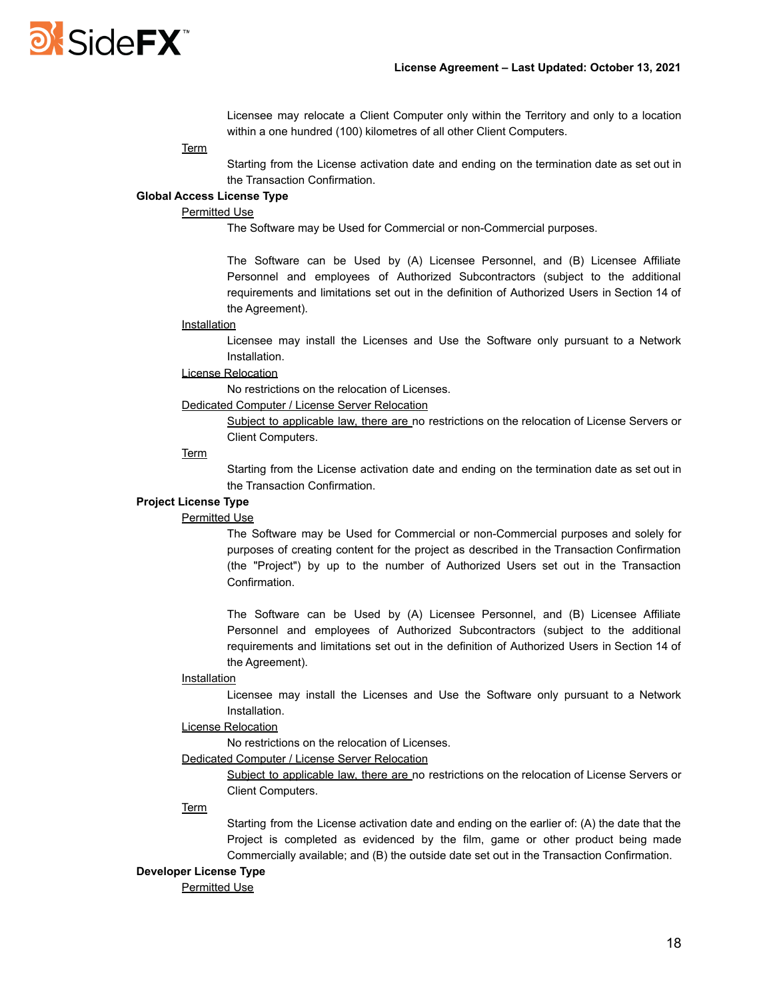

Licensee may relocate a Client Computer only within the Territory and only to a location within a one hundred (100) kilometres of all other Client Computers.

#### **Term**

Starting from the License activation date and ending on the termination date as set out in the Transaction Confirmation.

#### **Global Access License Type**

## Permitted Use

The Software may be Used for Commercial or non-Commercial purposes.

The Software can be Used by (A) Licensee Personnel, and (B) Licensee Affiliate Personnel and employees of Authorized Subcontractors (subject to the additional requirements and limitations set out in the definition of Authorized Users in Section 14 of the Agreement).

#### Installation

Licensee may install the Licenses and Use the Software only pursuant to a Network Installation.

# License Relocation

No restrictions on the relocation of Licenses.

Dedicated Computer / License Server Relocation

Subject to applicable law, there are no restrictions on the relocation of License Servers or Client Computers.

## Term

Starting from the License activation date and ending on the termination date as set out in the Transaction Confirmation.

# **Project License Type**

## Permitted Use

The Software may be Used for Commercial or non-Commercial purposes and solely for purposes of creating content for the project as described in the Transaction Confirmation (the "Project") by up to the number of Authorized Users set out in the Transaction Confirmation.

The Software can be Used by (A) Licensee Personnel, and (B) Licensee Affiliate Personnel and employees of Authorized Subcontractors (subject to the additional requirements and limitations set out in the definition of Authorized Users in Section 14 of the Agreement).

#### **Installation**

Licensee may install the Licenses and Use the Software only pursuant to a Network Installation.

# License Relocation

No restrictions on the relocation of Licenses.

## Dedicated Computer / License Server Relocation

Subject to applicable law, there are no restrictions on the relocation of License Servers or Client Computers.

#### **Term**

Starting from the License activation date and ending on the earlier of: (A) the date that the Project is completed as evidenced by the film, game or other product being made Commercially available; and (B) the outside date set out in the Transaction Confirmation.

#### **Developer License Type**

Permitted Use